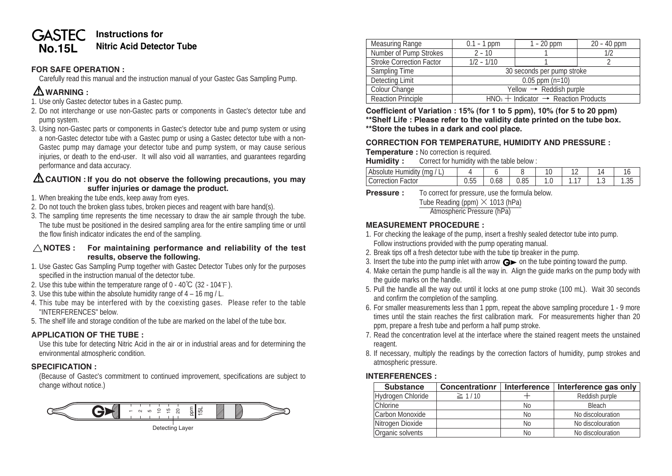#### **Instructions for GASTEC No.15L** Nitric Acid Detector Tube

## **FOR SAFE OPERATION :**

Carefully read this manual and the instruction manual of your Gastec Gas Sampling Pump.

# **WARNING :**

- 1. Use only Gastec detector tubes in a Gastec pump.
- 2. Do not interchange or use non-Gastec parts or components in Gastec's detector tube and pump system.
- 3. Using non-Gastec parts or components in Gastec's detector tube and pump system or using a non-Gastec detector tube with a Gastec pump or using a Gastec detector tube with a non-Gastec pump may damage your detector tube and pump system, or may cause serious injuries, or death to the end-user. It will also void all warranties, and guarantees regarding performance and data accuracy.

## **CAUTION : If you do not observe the following precautions, you may suffer injuries or damage the product.**

- 1. When breaking the tube ends, keep away from eyes.
- 2. Do not touch the broken glass tubes, broken pieces and reagent with bare hand(s).
- 3. The sampling time represents the time necessary to draw the air sample through the tube. The tube must be positioned in the desired sampling area for the entire sampling time or until the flow finish indicator indicates the end of the sampling.

#### **NOTES : For maintaining performance and reliability of the test results, observe the following.**

- 1. Use Gastec Gas Sampling Pump together with Gastec Detector Tubes only for the purposes specified in the instruction manual of the detector tube.
- 2. Use this tube within the temperature range of  $0 40^{\circ}C$  (32 104 °F).
- 3. Use this tube within the absolute humidity range of 4 16 mg / L.
- 4. This tube may be interfered with by the coexisting gases. Please refer to the table "INTERFERENCES" below.
- 5. The shelf life and storage condition of the tube are marked on the label of the tube box.

## **APPLICATION OF THE TUBE :**

Use this tube for detecting Nitric Acid in the air or in industrial areas and for determining the environmental atmospheric condition.

## **SPECIFICATION :**

(Because of Gastec's commitment to continued improvement, specifications are subject to change without notice.)



| <b>Measuring Range</b>          | $0.1 - 1$ ppm                                     | $1 - 20$ ppm | 20 - 40 ppm |  |  |  |
|---------------------------------|---------------------------------------------------|--------------|-------------|--|--|--|
| Number of Pump Strokes          | $2 - 10$                                          |              | 1/2         |  |  |  |
| <b>Stroke Correction Factor</b> | $1/2 - 1/10$                                      |              |             |  |  |  |
| Sampling Time                   | 30 seconds per pump stroke                        |              |             |  |  |  |
| Detecting Limit                 | $0.05$ ppm $(n=10)$                               |              |             |  |  |  |
| Colour Change                   | Yellow $\rightarrow$ Reddish purple               |              |             |  |  |  |
| <b>Reaction Principle</b>       | $HNO3 + Indication \rightarrow Reaction Products$ |              |             |  |  |  |

**Coefficient of Variation : 15% (for 1 to 5 ppm), 10% (for 5 to 20 ppm) \*\*Shelf Life : Please refer to the validity date printed on the tube box.**

**\*\*Store the tubes in a dark and cool place.**

## **CORRECTION FOR TEMPERATURE, HUMIDITY AND PRESSURE :**

**Temperature :** No correction is required.

**Humidity :** Correct for humidity with the table below :

| . .<br>$\cdots$<br>. .<br>$-$<br>.<br><br><b>.</b> |              |                    |          | $\sim$<br>v | . . |       |        |
|----------------------------------------------------|--------------|--------------------|----------|-------------|-----|-------|--------|
|                                                    | $- -$<br>ں ں | $\epsilon$<br>v.oc | $\Omega$ | . . ب       |     | . . ت | $\sim$ |

**Pressure :** To correct for pressure, use the formula below.

Tube Reading (ppm) **×** 1013 (hPa)

Atmospheric Pressure (hPa)

## **MEASUREMENT PROCEDURE :**

- 1. For checking the leakage of the pump, insert a freshly sealed detector tube into pump. Follow instructions provided with the pump operating manual.
- 2. Break tips off a fresh detector tube with the tube tip breaker in the pump.
- 3. Insert the tube into the pump inlet with arrow  $\mathbf{G}$  on the tube pointing toward the pump.
- 4. Make certain the pump handle is all the way in. Align the guide marks on the pump body with the guide marks on the handle.
- 5. Pull the handle all the way out until it locks at one pump stroke (100 mL). Wait 30 seconds and confirm the completion of the sampling.
- 6. For smaller measurements less than 1 ppm, repeat the above sampling procedure 1 9 more times until the stain reaches the first calibration mark. For measurements higher than 20 ppm, prepare a fresh tube and perform a half pump stroke.
- 7. Read the concentration level at the interface where the stained reagent meets the unstained reagent.
- 8. If necessary, multiply the readings by the correction factors of humidity, pump strokes and atmospheric pressure.

## **INTERFERENCES :**

| <b>Substance</b>  | <b>Concentrationr</b> | Interference   | Interference gas only |
|-------------------|-----------------------|----------------|-----------------------|
| Hydrogen Chloride | $\geq 1/10$           |                | Reddish purple        |
| <b>Chlorine</b>   |                       | No             | Bleach                |
| Carbon Monoxide   |                       | No             | No discolouration     |
| Nitrogen Dioxide  |                       | N <sub>0</sub> | No discolouration     |
| Organic solvents  |                       | No             | No discolouration     |